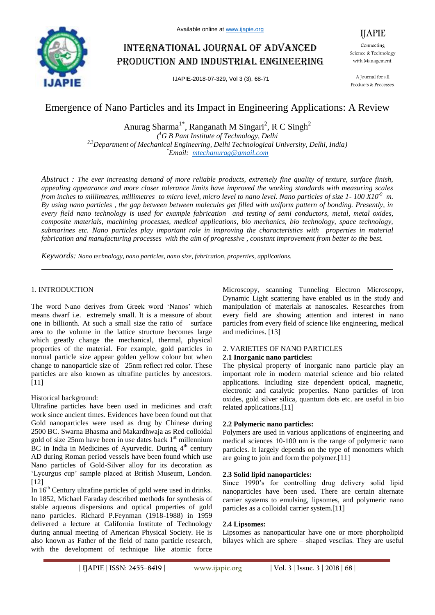

# International journal of advanced production and industrial engineering

IJAPIE-2018-07-329, Vol 3 (3), 68-71

IJAPIE Connecting Science & Technology with Management.

A Journal for all Products & Processes.

## Emergence of Nano Particles and its Impact in Engineering Applications: A Review

Anurag Sharma<sup>1\*</sup>, Ranganath M Singari<sup>2</sup>, R C Singh<sup>2</sup> *( <sup>1</sup>G B Pant Institute of Technology, Delhi 2,3Department of Mechanical Engineering, Delhi Technological University, Delhi, India) \*Email: mtechanurag@gmail.com*

*Abstract : The ever increasing demand of more reliable products, extremely fine quality of texture, surface finish, appealing appearance and more closer tolerance limits have improved the working standards with measuring scales from inches to millimetres, millimetres to micro level, micro level to nano level. Nano particles of size 1- 100 X10-9 m. By using nano particles , the gap between between molecules get filled with uniform pattern of bonding. Presently, in every field nano technology is used for example fabrication and testing of semi conductors, metal, metal oxides, composite materials, machining processes, medical applications, bio mechanics, bio technology, space technology, submarines etc. Nano particles play important role in improving the characteristics with properties in material fabrication and manufacturing processes with the aim of progressive , constant improvement from better to the best.*

*Keywords: Nano technology, nano particles, nano size, fabrication, properties, applications.*

### 1. INTRODUCTION

The word Nano derives from Greek word 'Nanos' which means dwarf i.e. extremely small. It is a measure of about one in billionth. At such a small size the ratio of surface area to the volume in the lattice structure becomes large which greatly change the mechanical, thermal, physical properties of the material. For example, gold particles in normal particle size appear golden yellow colour but when change to nanoparticle size of 25nm reflect red color. These particles are also known as ultrafine particles by ancestors. [11]

Historical background:

Ultrafine particles have been used in medicines and craft work since ancient times. Evidences have been found out that Gold nanoparticles were used as drug by Chinese during 2500 BC. Swarna Bhasma and Makardhwaja as Red colloidal gold of size  $25$ nm have been in use dates back  $1<sup>st</sup>$  millennium  $\overline{BC}$  in India in Medicines of Ayurvedic. During  $4<sup>th</sup>$  century AD during Roman period vessels have been found which use Nano particles of Gold-Silver alloy for its decoration as 'Lycurgus cup' sample placed at British Museum, London. [12]

In  $16<sup>th</sup>$  Century ultrafine particles of gold were used in drinks. In 1852, Michael Faraday described methods for synthesis of stable aqueous dispersions and optical properties of gold nano particles. Richard P.Feynman (1918-1988) in 1959 delivered a lecture at California Institute of Technology during annual meeting of American Physical Society. He is also known as Father of the field of nano particle research, with the development of technique like atomic force Microscopy, scanning Tunneling Electron Microscopy, Dynamic Light scattering have enabled us in the study and manipulation of materials at nanoscales. Researches from every field are showing attention and interest in nano particles from every field of science like engineering, medical and medicines. [13]

## 2. VARIETIES OF NANO PARTICLES

## **2.1 Inorganic nano particles:**

The physical property of inorganic nano particle play an important role in modern material science and bio related applications. Including size dependent optical, magnetic, electronic and catalytic properties. Nano particles of iron oxides, gold silver silica, quantum dots etc. are useful in bio related applications.[11]

## **2.2 Polymeric nano particles:**

Polymers are used in various applications of engineering and medical sciences 10-100 nm is the range of polymeric nano particles. It largely depends on the type of monomers which are going to join and form the polymer.[11]

## **2.3 Solid lipid nanoparticles:**

Since 1990's for controlling drug delivery solid lipid nanoparticles have been used. There are certain alternate carrier systems to emulsing, lipsomes, and polymeric nano particles as a colloidal carrier system.[11]

## **2.4 Lipsomes:**

Lipsomes as nanoparticular have one or more phorpholipid bilayes which are sphere – shaped vescilas. They are useful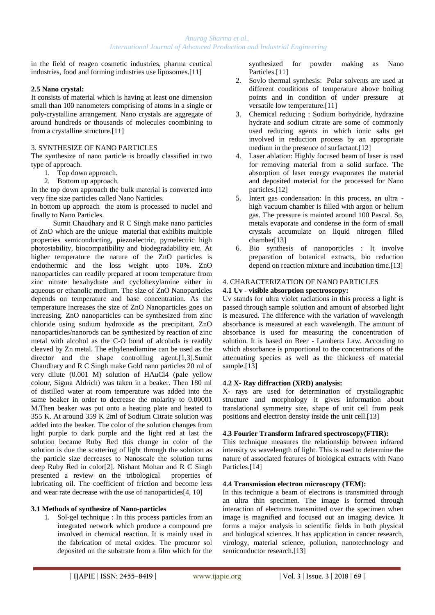in the field of reagen cosmetic industries, pharma ceutical industries, food and forming industries use liposomes.[11]

#### **2.5 Nano crystal:**

It consists of material which is having at least one dimension small than 100 nanometers comprising of atoms in a single or poly-crystalline arrangement. Nano crystals are aggregate of around hundreds or thousands of molecules coombining to from a crystalline structure.[11]

#### 3. SYNTHESIZE OF NANO PARTICLES

The synthesize of nano particle is broadly classified in two type of approach.

- 1. Top down approach.
- 2. Bottom up approach.

In the top down approach the bulk material is converted into very fine size particles called Nano Narticles.

In bottom up approach the atom is processed to nuclei and finally to Nano Particles.

 Sumit Chaudhary and R C Singh make nano particles of ZnO which are the unique material that exhibits multiple properties semiconducting, piezoelectric, pyroelectric high photostability, biocompatibility and biodegradability etc. At higher temperature the nature of the ZnO particles is endothermic and the loss weight upto 10%. ZnO nanoparticles can readily prepared at room temperature from zinc nitrate hexahydrate and cyclohexylamine either in aqueous or ethanolic medium. The size of ZnO Nanoparticles depends on temperature and base concentration. As the temperature increases the size of ZnO Nanoparticles goes on increasing. ZnO nanoparticles can be synthesized from zinc chloride using sodium hydroxide as the precipitant. ZnO nanoparticles/nanorods can be synthesized by reaction of zinc metal with alcohol as the C-O bond of alcohols is readily cleaved by Zn metal. The ethylenediamine can be used as the director and the shape controlling agent.[1,3].Sumit Chaudhary and R C Singh make Gold nano particles 20 ml of very dilute (0.001 M) solution of HAuCl4 (pale yellow colour, Sigma Aldrich) was taken in a beaker. Then 180 ml of distilled water at room temperature was added into the same beaker in order to decrease the molarity to 0.00001 M.Then beaker was put onto a heating plate and heated to 355 K. At around 359 K 2ml of Sodium Citrate solution was added into the beaker. The color of the solution changes from light purple to dark purple and the light red at last the solution became Ruby Red this change in color of the solution is due the scattering of light through the solution as the particle size decreases to Nanoscale the solution turns deep Ruby Red in color[2]. Nishant Mohan and R C Singh presented a review on the tribological properties of lubricating oil. The coefficient of friction and become less and wear rate decrease with the use of nanoparticles[4, 10]

#### **3.1 Methods of synthesize of Nano-particles**

1. Sol-gel technique : In this process particles from an integrated network which produce a compound pre involved in chemical reaction. It is mainly used in the fabrication of metal oxides. The procuror sol deposited on the substrate from a film which for the synthesized for powder making as Nano Particles.[11]

- Sovlo thermal synthesis: Polar solvents are used at different conditions of temperature above boiling points and in condition of under pressure at versatile low temperature.[11]
- 3. Chemical reducing : Sodium borhydride, hydrazine hydrate and sodium citrate are some of commonly used reducing agents in which ionic salts get involved in reduction process by an appropriate medium in the presence of surfactant.[12]
- 4. Laser ablation: Highly focused beam of laser is used for removing material from a solid surface. The absorption of laser energy evaporates the material and deposited material for the processed for Nano particles.[12]
- 5. Intert gas condensation: In this process, an ultra high vacuum chamber is filled with argon or helium gas. The pressure is mainted around 100 Pascal. So, metals evaporate and condense in the form of small crystals accumulate on liquid nitrogen filled chamber[13]
- 6. Bio synthesis of nanoporticles : It involve preparation of botanical extracts, bio reduction depend on reaction mixture and incubation time.[13]

#### 4. CHARACTERIZATION OF NANO PARTICLES

#### **4.1 Uv - visible absorption spectroscopy:**

Uv stands for ultra violet radiations in this process a light is passed through sample solution and amount of absorbed light is measured. The difference with the variation of wavelength absorbance is measured at each wavelength. The amount of absorbance is used for measuring the concentration of solution. It is based on Beer - Lamberts Law. According to which absorbance is proportional to the concentrations of the attenuating species as well as the thickness of material sample.<sup>[13]</sup>

#### **4.2 X- Ray diffraction (XRD) analysis:**

X- rays are used for determination of crystallographic structure and morphology it gives information about translational symmetry size, shape of unit cell from peak positions and electron density inside the unit cell.[13]

#### **4.3 Fourier Transform Infrared spectroscopy(FTIR):**

This technique measures the relationship between infrared intensity vs wavelength of light. This is used to determine the nature of associated features of biological extracts with Nano Particles.<sup>[14]</sup>

#### **4.4 Transmission electron microscopy (TEM):**

In this technique a beam of electrons is transmitted through an ultra thin specimen. The image is formed through interaction of electrons transmitted over the specimen when image is magnified and focused out an imaging device. It forms a major analysis in scientific fields in both physical and biological sciences. It has application in cancer research, virology, material science, pollution, nanotechnology and semiconductor research.[13]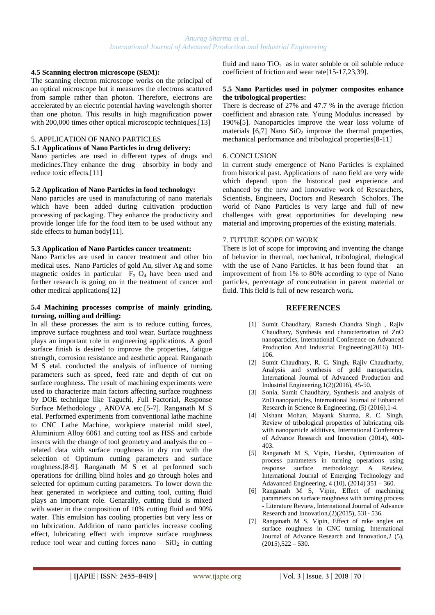#### **4.5 Scanning electron microscope (SEM):**

The scanning electron microscope works on the principal of an optical microscope but it measures the electrons scattered from sample rather than photon. Therefore, electrons are accelerated by an electric potential having wavelength shorter than one photon. This results in high magnification power with 200,000 times other optical microscopic techniques.[13]

#### 5. APPLICATION OF NANO PARTICLES

#### **5.1 Applications of Nano Particles in drug delivery:**

Nano particles are used in different types of drugs and medicines.They enhance the drug absorbity in body and reduce toxic effects.[11]

#### **5.2 Application of Nano Particles in food technology:**

Nano particles are used in manufacturing of nano materials which have been added during cultivation production processing of packaging. They enhance the productivity and provide longer life for the food item to be used without any side effects to human body[11].

#### **5.3 Application of Nano Particles cancer treatment:**

Nano Particles are used in cancer treatment and other bio medical uses. Nano Particles of gold Au, silver Ag and some magnetic oxides in particular  $F_3$  O<sub>4</sub> have been used and further research is going on in the treatment of cancer and other medical applications[12]

#### **5.4 Machining processes comprise of mainly grinding, turning, milling and drilling:**

In all these processes the aim is to reduce cutting forces, improve surface roughness and tool wear. Surface roughness plays an important role in engineering applications. A good surface finish is desired to improve the properties, fatigue strength, corrosion resistance and aesthetic appeal. Ranganath M S etal. conducted the analysis of influence of turning parameters such as speed, feed rate and depth of cut on surface roughness. The result of machining experiments were used to characterize main factors affecting surface roughness by DOE technique like Taguchi, Full Factorial, Response Surface Methodology , ANOVA etc.[5-7]. Ranganath M S etal. Performed experiments from conventional lathe machine to CNC Lathe Machine, workpiece material mild steel, Aluminium Alloy 6061 and cutting tool as HSS and carbide inserts with the change of tool geometry and analysis the co – related data with surface roughness in dry run with the selection of Optimum cutting parameters and surface roughness.[8-9]. Ranganath M S et al performed such operations for drilling blind holes and go through holes and selected for optimum cutting parameters. To lower down the heat generated in workpiece and cutting tool, cutting fluid plays an important role. Genarally, cutting fluid is mixed with water in the composition of 10% cutting fluid and 90% water. This emulsion has cooling properties but very less or no lubrication. Addition of nano particles increase cooling effect, lubricating effect with improve surface roughness reduce tool wear and cutting forces nano –  $SiO<sub>2</sub>$  in cutting

fluid and nano  $TiO<sub>2</sub>$  as in water soluble or oil soluble reduce coefficient of friction and wear rate[15-17,23,39].

#### **5.5 Nano Particles used in polymer composites enhance the tribological properties:**

There is decrease of 27% and 47.7 % in the average friction coefficient and abrasion rate. Young Modulus increased by 190%[5]. Nanoparticles improve the wear loss volume of materials  $[6,7]$  Nano  $SiO<sub>2</sub>$  improve the thermal properties, mechanical performance and tribological properties[8-11]

#### 6. CONCLUSION

In current study emergence of Nano Particles is explained from historical past. Applications of nano field are very wide which depend upon the historical past experience and enhanced by the new and innovative work of Researchers, Scientists, Engineers, Doctors and Research Scholors. The world of Nano Particles is very large and full of new challenges with great opportunities for developing new material and improving properties of the existing materials.

#### 7. FUTURE SCOPE OF WORK

There is lot of scope for improving and inventing the change of behavior in thermal, mechanical, tribological, rhelogical with the use of Nano Particles. It has been found that an improvement of from 1% to 80% according to type of Nano particles, percentage of concentration in parent material or fluid. This field is full of new research work.

#### **REFERENCES**

- [1] Sumit Chaudhary, Ramesh Chandra Singh , Rajiv Chaudhary, Synthesis and characterization of ZnO nanoparticles, International Conference on Advanced Production And Industrial Engineering(2016) 103- 106.
- [2] Sumit Chaudhary, R. C. Singh, Rajiv Chaudharhy, Analysis and synthesis of gold nanoparticles, International Journal of Advanced Production and Industrial Engineering,1(2)(2016), 45-50.
- [3] Sonia, Sumit Chaudhary, Synthesis and analysis of ZnO nanoparticles, International Journal of Enhanced Research in Science & Engineering, (5) (2016),1-4.
- [4] Nishant Mohan, Mayank Sharma, R. C. Singh, Review of tribological properties of lubricating oils with nanoparticle additives, International Conference of Advance Research and Innovation (2014), 400- 403.
- [5] Ranganath M S, Vipin, Harshit, Optimization of process parameters in turning operations using response surface methodology: A Review, International Journal of Emerging Technology and Adavanced Engineering, 4 (10), (2014) 351 – 360.
- [6] Ranganath M S, Vipin, Effect of machining parameters on surface roughness with turning process - Literature Review, International Journal of Advance Research and Innovation,(2)(2015), 531- 536.
- [7] Ranganath M S, Vipin, Effect of rake angles on surface roughness in CNC turning, International Journal of Advance Research and Innovation,2 (5),  $(2015),522 - 530.$